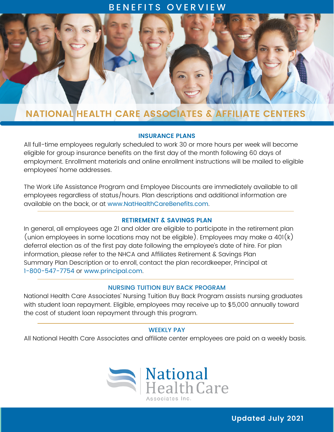## BENEFITS OVERVIEW



# **NATIONAL HEALTH CARE ASSOCIATES & AFFILIATE CENTERS**

#### **INSURANCE PLANS**

All full-time employees regularly scheduled to work 30 or more hours per week will become eligible for group insurance benefits on the first day of the month following 60 days of employment. Enrollment materials and online enrollment instructions will be mailed to eligible employees' home addresses.

The Work Life Assistance Program and Employee Discounts are immediately available to all employees regardless of status/hours. Plan descriptions and additional information are available on the back, or at [www.NatHealthCareBenefits.com](http://www.nathealthcarebenefits.com/).

#### **RETIREMENT & SAVINGS PLAN**

In general, all employees age 21 and older are eligible to participate in the retirement plan (union employees in some locations may not be eligible). Employees may make a  $401(k)$ deferral election as of the first pay date following the employee's date of hire. For plan information, please refer to the NHCA and Affiliates Retirement & Savings Plan Summary Plan Description or to enroll, contact the plan recordkeeper, Principal at 1-800-547-7754 or [www.principal.com](http://www.principal.com/).

### NURSING TUITION BUY BACK PROGRAM

National Health Care Associates' Nursing Tuition Buy Back Program assists nursing graduates with student loan repayment. Eligible, employees may receive up to \$5,000 annually toward the cost of student loan repayment through this program.

#### WEEKLY PAY

All National Health Care Associates and affiliate center employees are paid on a weekly basis.



**Updated July 2021**